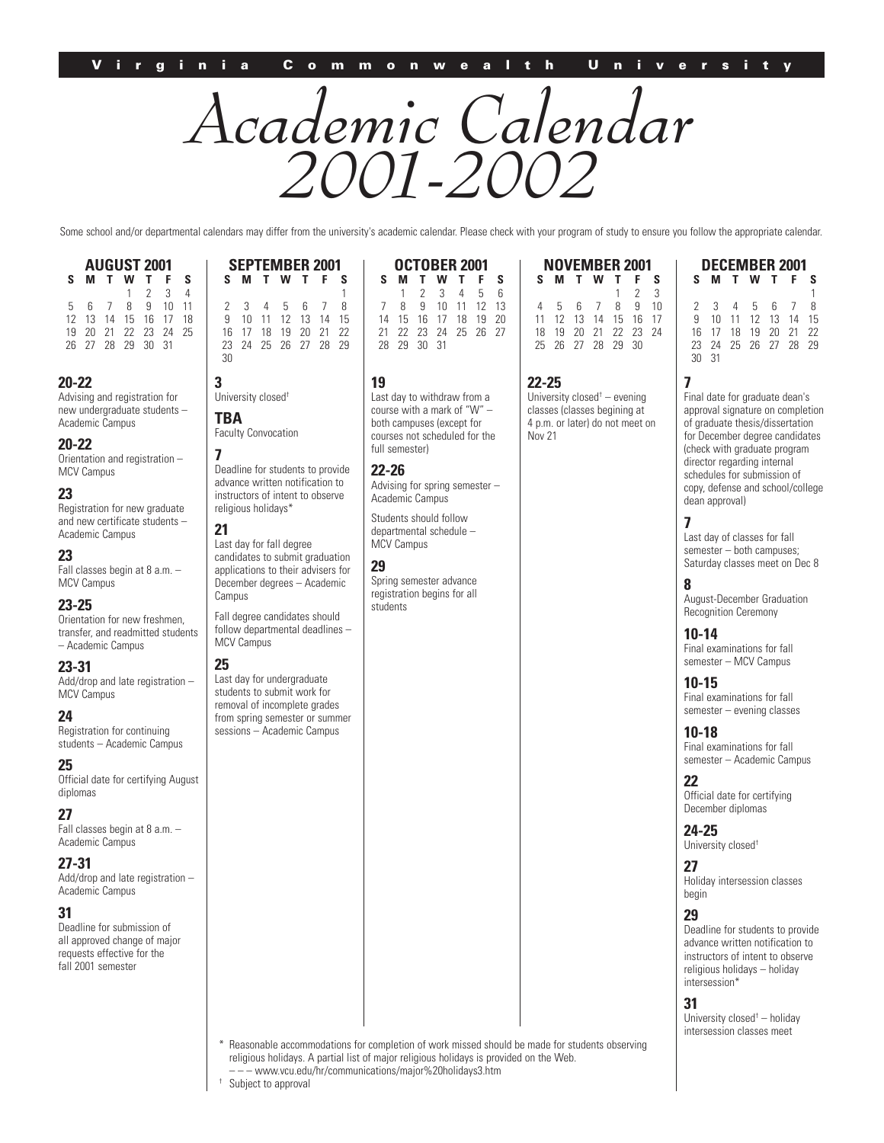# *Academic Calendar 2001-2002*

Some school and/or departmental calendars may differ from the university's academic calendar. Please check with your program of study to ensure you follow the appropriate calendar.

**AUGUST 2001 SMTWT F S**  $\begin{array}{ccc} 1 & 2 & 3 \\ 8 & 9 & 10 \end{array}$ 5 6 7 8 9 10 11 12 13 14 15 16 17 18 19 20 21 22 23 24 25 26 27 28 29 30 31

#### **20-22**

Advising and registration for new undergraduate students – Academic Campus

#### **20-22**

Orientation and registration – MCV Campus

#### **23**

Registration for new graduate and new certificate students – Academic Campus

# **23**

Fall classes begin at 8 a.m. – MCV Campus

#### **23-25**

Orientation for new freshmen, transfer, and readmitted students – Academic Campus

#### **23-31**

Add/drop and late registration – MCV Campus

#### **24**

Registration for continuing students – Academic Campus

#### **25**

Official date for certifying August diplomas

#### **27**

Fall classes begin at 8 a.m. – Academic Campus

#### **27-31**

Add/drop and late registration – Academic Campus

#### **31**

Deadline for submission of all approved change of major requests effective for the fall 2001 semester

| <b>SEPTEMBER 2001</b> |          |                   |                |  |  |   |  |
|-----------------------|----------|-------------------|----------------|--|--|---|--|
| s                     |          | <b>MTWTF</b>      |                |  |  | s |  |
|                       |          |                   |                |  |  |   |  |
|                       | 3        |                   | 4 5 6 7        |  |  | 8 |  |
| 9                     | 10       | 11 12 13 14 15    |                |  |  |   |  |
|                       | 16<br>17 |                   | 18 19 20 21 22 |  |  |   |  |
| 23                    |          | 24 25 26 27 28 29 |                |  |  |   |  |
| 30                    |          |                   |                |  |  |   |  |

**3** University closed†

**TBA** Faculty Convocation

**7** Deadline for students to provide advance written notification to instructors of intent to observe religious holidays\*

# **21**

Last day for fall degree candidates to submit graduation applications to their advisers for December degrees – Academic Campus

Fall degree candidates should

# **25**

Last day for undergraduate students to submit work for removal of incomplete grades from spring semester or summer sessions – Academic Campus

#### **OCTOBER 2001 SMTWT F S** 123456 7 8 9 10 11 12 13 16 17 18 21 22 23 24 25 26 27 28 29 30 31

#### **19**

Last day to withdraw from a course with a mark of "W" – both campuses (except for courses not scheduled for the full semester)

#### **22-26** Advising for spring semester – Academic Campus

Students should follow departmental schedule – MCV Campus

#### **29**

Spring semester advance registration begins for all students

#### **NOVEMBER 2001 SMTWT F S**  $\begin{array}{ccc} 1 & 2 & 3 \\ 8 & 9 & 10 \end{array}$ 4 5 6 7 8 9 10 11 12 13 14 15<br>18 19 20 21 22 18 19 20 21 22 23 24 25 26 27 28 29 30

**22-25** University closed† – evening classes (classes begining at 4 p.m. or later) do not meet on Nov 21

#### **DECEMBER 2001 SMTWT F S** 1 2345678 9 10 11 12 13 14 15 16 17 18 19 20 21 22 23 24 25 26 27 28 29 30 31

**7** Final date for graduate dean's approval signature on completion of graduate thesis/dissertation for December degree candidates (check with graduate program director regarding internal schedules for submission of copy, defense and school/college dean approval)

#### **7**

Last day of classes for fall semester – both campuses; Saturday classes meet on Dec 8

# **8**

August-December Graduation Recognition Ceremony

# **10-14**

Final examinations for fall semester – MCV Campus

# **10-15**

Final examinations for fall semester – evening classes

#### **10-18**

Final examinations for fall semester – Academic Campus

#### **22**

Official date for certifying December diplomas

### **24-25**

University closed†

#### **27**

Holiday intersession classes begin

# **29**

Deadline for students to provide advance written notification to instructors of intent to observe religious holidays – holiday intersession\*

#### **31**

University closed† – holiday intersession classes meet

Reasonable accommodations for completion of work missed should be made for students observing religious holidays. A partial list of major religious holidays is provided on the Web.

– – – www.vcu.edu/hr/communications/major%20holidays3.htm

follow departmental deadlines – MCV Campus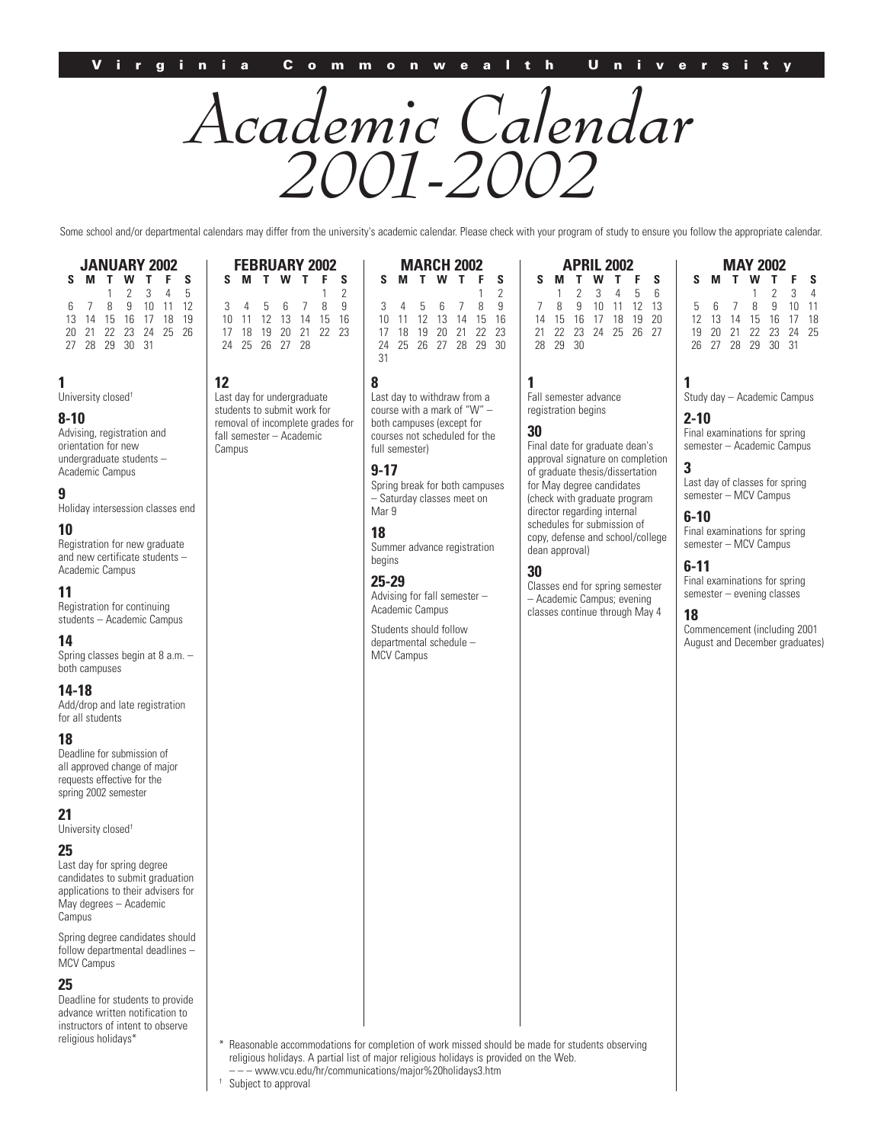# *Academic Calendar 2001-2002*

Some school and/or departmental calendars may differ from the university's academic calendar. Please check with your program of study to ensure you follow the appropriate calendar.

**MARCH 2002**

 $\begin{matrix} 1 & 2 \\ 8 & 9 \end{matrix}$ 

10 11 12 13 14 15 16

| <b>JANUARY 2002</b> |                      |  |  |                     |  |    |  |  |
|---------------------|----------------------|--|--|---------------------|--|----|--|--|
| s                   |                      |  |  | <b>MTWTF</b>        |  | -S |  |  |
|                     |                      |  |  | $1 \t2 \t3 \t4 \t5$ |  |    |  |  |
|                     | 6 7 8 9 10 11 12     |  |  |                     |  |    |  |  |
|                     | 13 14 15 16 17 18 19 |  |  |                     |  |    |  |  |
|                     | 20 21 22 23 24 25 26 |  |  |                     |  |    |  |  |
|                     | 27 28 29 30 31       |  |  |                     |  |    |  |  |

**12**

Campus

Last day for undergraduate students to submit work for removal of incomplete grades for fall semester – Academic

# **1**

University closed†

### **8-10**

Advising, registration and orientation for new undergraduate students – Academic Campus

# **9**

Holiday intersession classes end

# **10**

Registration for new graduate and new certificate students – Academic Campus

#### **11**

Registration for continuing students – Academic Campus

#### **14**

Spring classes begin at 8 a.m. – both campuses

#### **14-18**

Add/drop and late registration for all students

#### **18**

Deadline for submission of all approved change of major requests effective for the spring 2002 semester

#### **21** University closed†

**25**

Last day for spring degree candidates to submit graduation applications to their advisers for May degrees – Academic Campus

Spring degree candidates should follow departmental deadlines – MCV Campus

#### **25**

Deadline for students to provide advance written notification to instructors of intent to observe religious holidays\*

#### **FEBRUARY 2002 SMTWT F S**  $\begin{matrix} 1 & 2 \\ 8 & 9 \end{matrix}$ 3 4 5 6 7<br>10 11 12 13 14 10 11 12 13 14 15 16 17 18 19 20 21 22 23 24 25 26 27 28 **SMTWT F S** 3 4 5 6 7<br>10 11 12 13 14 17 18 19 20 21 22 23 24 25 26 27 28 29 30 31

**8**

Last day to withdraw from a course with a mark of "W" – both campuses (except for courses not scheduled for the full semester)

### **9-17**

Spring break for both campuses – Saturday classes meet on Mar 9

# **18**

Summer advance registration begins

#### **25-29**

Advising for fall semester – Academic Campus

Students should follow departmental schedule – MCV Campus

| <b>APRIL 2002</b> |          |  |  |                         |  |  |  |
|-------------------|----------|--|--|-------------------------|--|--|--|
| s                 |          |  |  | <b>MTWTFS</b>           |  |  |  |
|                   |          |  |  | $1 \t2 \t3 \t4 \t5 \t6$ |  |  |  |
|                   |          |  |  | 8 9 10 11 12 13         |  |  |  |
|                   |          |  |  | 14 15 16 17 18 19 20    |  |  |  |
|                   |          |  |  | 21 22 23 24 25 26 27    |  |  |  |
|                   | 28 29 30 |  |  |                         |  |  |  |

**1** Fall semester advance registration begins

#### **30**

Final date for graduate dean's approval signature on completion of graduate thesis/dissertation for May degree candidates (check with graduate program director regarding internal schedules for submission of copy, defense and school/college dean approval)

## **30**

Classes end for spring semester – Academic Campus; evening classes continue through May 4

| <b>MAY 2002</b> |  |    |                      |     |                     |   |  |  |
|-----------------|--|----|----------------------|-----|---------------------|---|--|--|
| s               |  | T. |                      | W T | F.                  | S |  |  |
|                 |  |    |                      |     | $1 \quad 2 \quad 3$ | 4 |  |  |
| 5.              |  |    | 6 7 8 9 10 11        |     |                     |   |  |  |
|                 |  |    | 12 13 14 15 16 17 18 |     |                     |   |  |  |
| 19              |  |    | 20 21 22 23 24 25    |     |                     |   |  |  |
|                 |  |    | 26 27 28 29 30 31    |     |                     |   |  |  |

# **1**

Study day – Academic Campus

# **2-10**

Final examinations for spring semester – Academic Campus

# **3**

Last day of classes for spring semester – MCV Campus

# **6-10**

Final examinations for spring semester – MCV Campus

# **6-11**

Final examinations for spring semester – evening classes

#### **18**

Commencement (including 2001 August and December graduates)

Reasonable accommodations for completion of work missed should be made for students observing religious holidays. A partial list of major religious holidays is provided on the Web.

– – – www.vcu.edu/hr/communications/major%20holidays3.htm